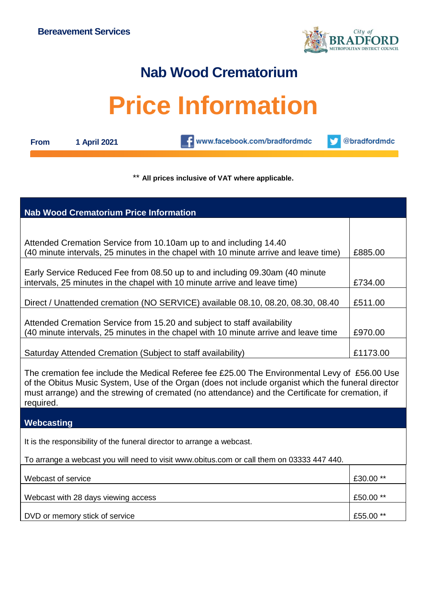

## **Nab Wood Crematorium**

## **Price Information**

**From 1 April 2021**

www.facebook.com/bradfordmdc

@bradfordmdc v

## \*\* **All prices inclusive of VAT where applicable.**

| <b>Nab Wood Crematorium Price Information</b>                                                                                                                                                                                                                                                                        |           |  |
|----------------------------------------------------------------------------------------------------------------------------------------------------------------------------------------------------------------------------------------------------------------------------------------------------------------------|-----------|--|
|                                                                                                                                                                                                                                                                                                                      |           |  |
| Attended Cremation Service from 10.10am up to and including 14.40<br>(40 minute intervals, 25 minutes in the chapel with 10 minute arrive and leave time)                                                                                                                                                            | £885.00   |  |
| Early Service Reduced Fee from 08.50 up to and including 09.30am (40 minute<br>intervals, 25 minutes in the chapel with 10 minute arrive and leave time)                                                                                                                                                             | £734.00   |  |
| Direct / Unattended cremation (NO SERVICE) available 08.10, 08.20, 08.30, 08.40                                                                                                                                                                                                                                      | £511.00   |  |
| Attended Cremation Service from 15.20 and subject to staff availability<br>(40 minute intervals, 25 minutes in the chapel with 10 minute arrive and leave time                                                                                                                                                       | £970.00   |  |
| Saturday Attended Cremation (Subject to staff availability)                                                                                                                                                                                                                                                          | £1173.00  |  |
| The cremation fee include the Medical Referee fee £25.00 The Environmental Levy of £56.00 Use<br>of the Obitus Music System, Use of the Organ (does not include organist which the funeral director<br>must arrange) and the strewing of cremated (no attendance) and the Certificate for cremation, if<br>required. |           |  |
| Webcasting                                                                                                                                                                                                                                                                                                           |           |  |
| It is the responsibility of the funeral director to arrange a webcast.                                                                                                                                                                                                                                               |           |  |
| To arrange a webcast you will need to visit www.obitus.com or call them on 03333 447 440.                                                                                                                                                                                                                            |           |  |
| Webcast of service                                                                                                                                                                                                                                                                                                   | £30.00 ** |  |
| Webcast with 28 days viewing access                                                                                                                                                                                                                                                                                  | £50.00 ** |  |
| DVD or memory stick of service                                                                                                                                                                                                                                                                                       | £55.00 ** |  |